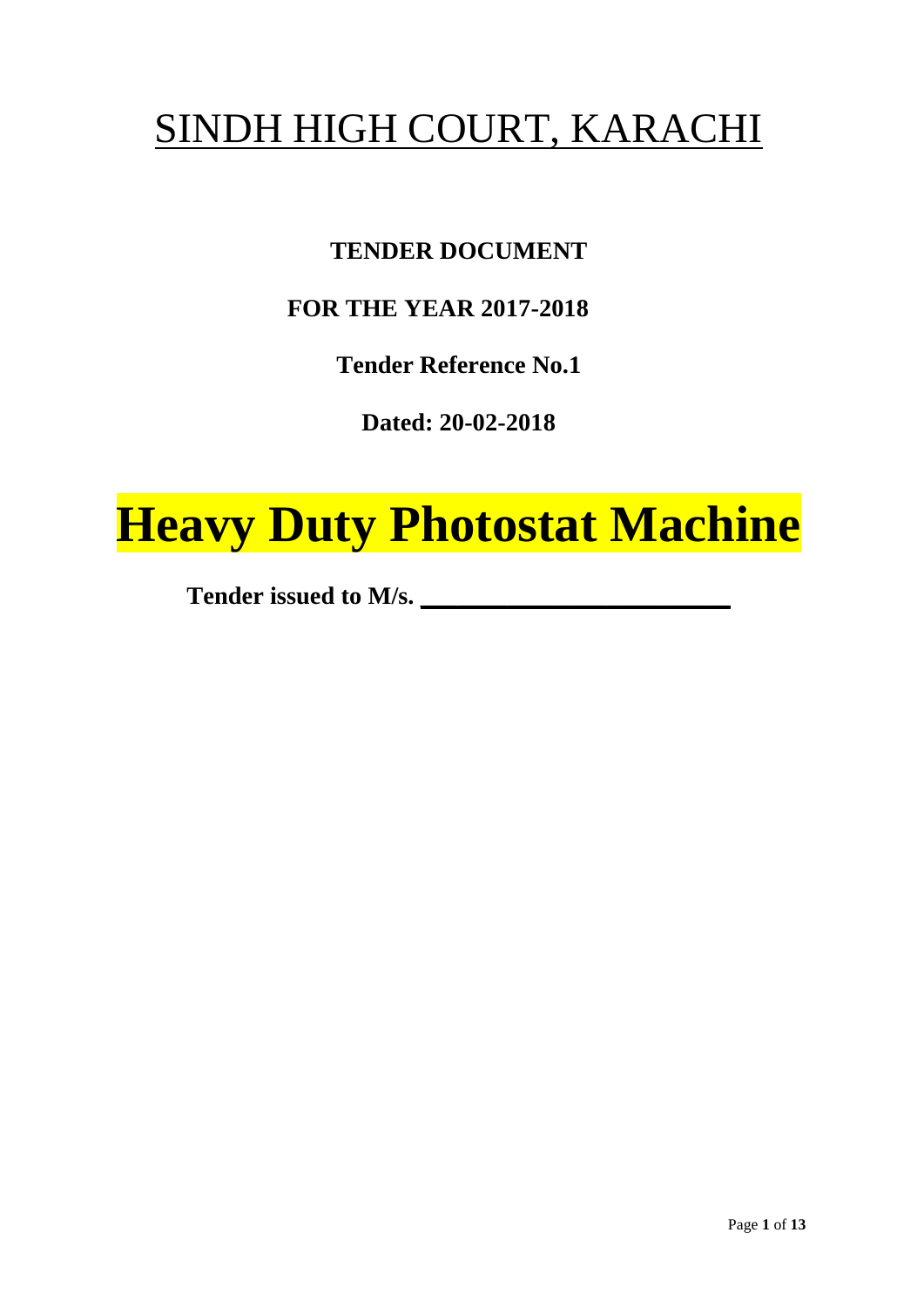# SINDH HIGH COURT, KARACHI

## **TENDER DOCUMENT**

## **FOR THE YEAR 2017-2018**

**Tender Reference No.1**

**Dated: 20-02-2018**

# **Heavy Duty Photostat Machine**

**Tender issued to M/s. \_\_\_\_\_\_\_\_\_\_\_\_\_\_\_\_\_\_\_\_\_\_\_\_\_**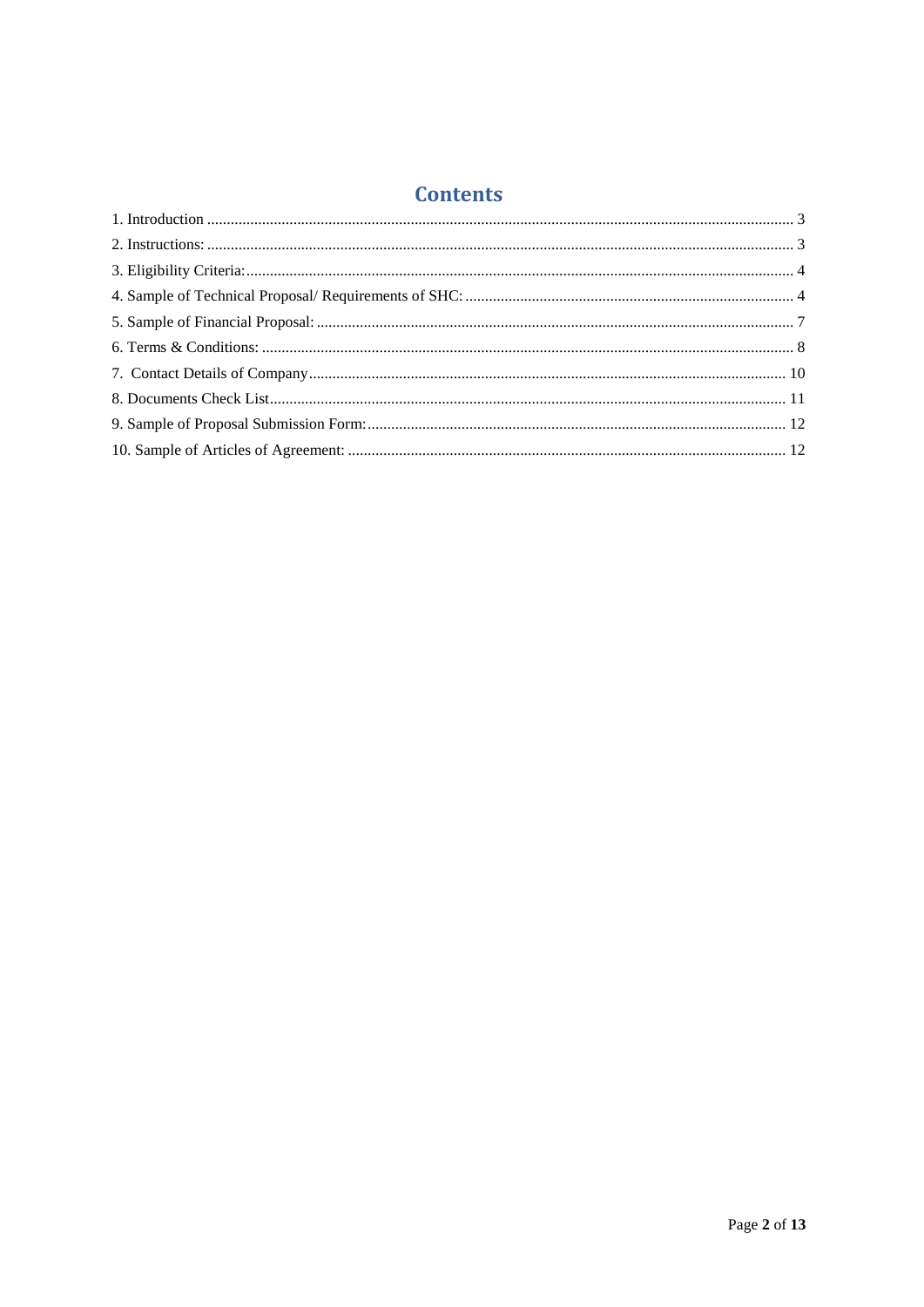## **Contents**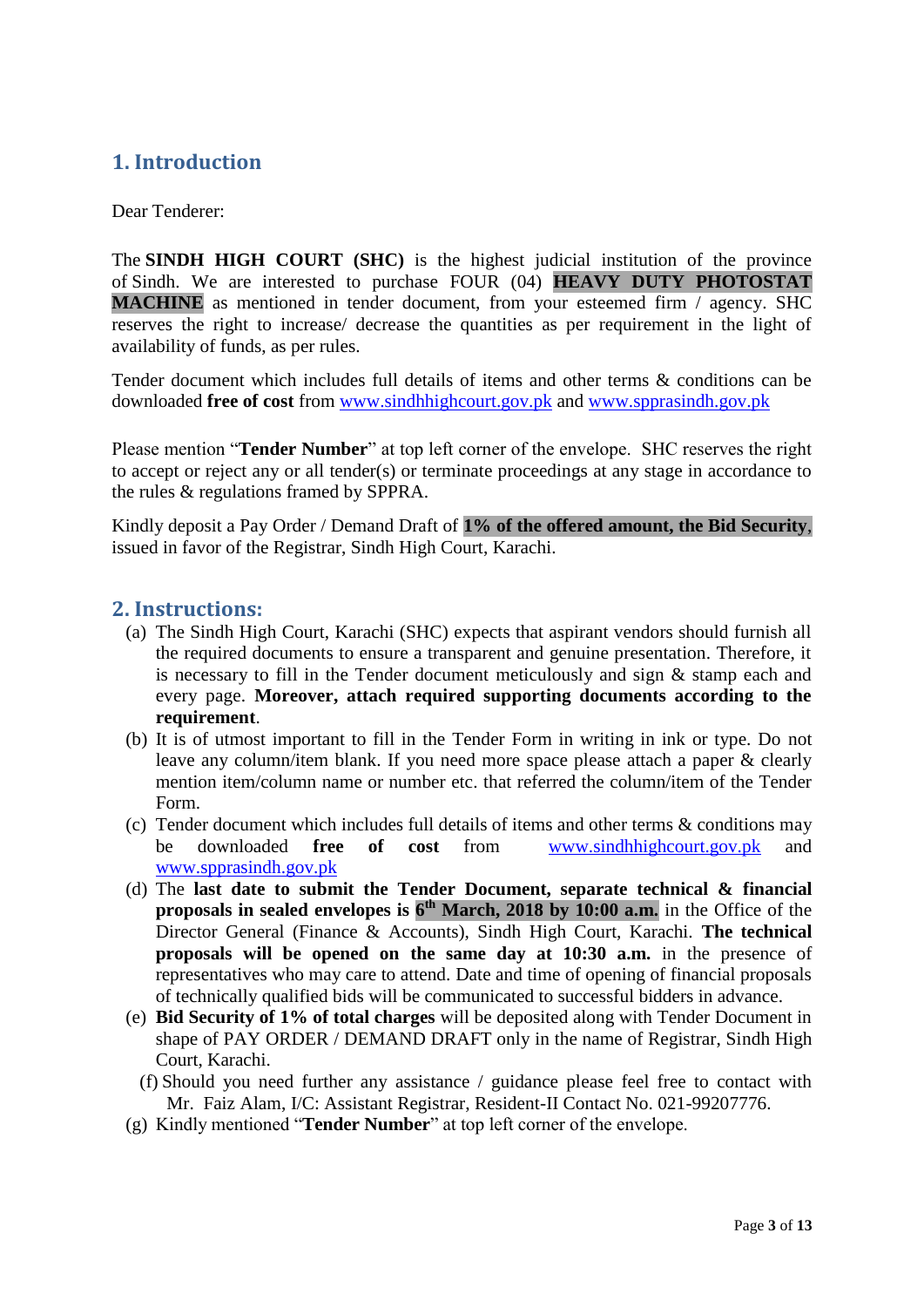## <span id="page-2-0"></span>**1. Introduction**

Dear Tenderer:

The **SINDH HIGH COURT (SHC)** is the highest judicial institution of the province of [Sindh.](https://en.wikipedia.org/wiki/Sindh) We are interested to purchase FOUR (04) **HEAVY DUTY PHOTOSTAT MACHINE** as mentioned in tender document, from your esteemed firm / agency. SHC reserves the right to increase/ decrease the quantities as per requirement in the light of availability of funds, as per rules.

Tender document which includes full details of items and other terms & conditions can be downloaded **free of cost** from [www.sindhhighcourt.gov.pk](http://www.sindhhighcourt.gov.pk/) and [www.spprasindh.gov.pk](http://www.spprasindh.gov.pk/)

Please mention "**Tender Number**" at top left corner of the envelope. SHC reserves the right to accept or reject any or all tender(s) or terminate proceedings at any stage in accordance to the rules & regulations framed by SPPRA.

Kindly deposit a Pay Order / Demand Draft of **1% of the offered amount, the Bid Security**, issued in favor of the Registrar, Sindh High Court, Karachi.

#### <span id="page-2-1"></span>**2. Instructions:**

- (a) The Sindh High Court, Karachi (SHC) expects that aspirant vendors should furnish all the required documents to ensure a transparent and genuine presentation. Therefore, it is necessary to fill in the Tender document meticulously and sign & stamp each and every page. **Moreover, attach required supporting documents according to the requirement**.
- (b) It is of utmost important to fill in the Tender Form in writing in ink or type. Do not leave any column/item blank. If you need more space please attach a paper & clearly mention item/column name or number etc. that referred the column/item of the Tender Form.
- (c) Tender document which includes full details of items and other terms & conditions may be downloaded **free of cost** from [www.sindhhighcourt.gov.pk](http://www.sindhhighcourt.gov.pk/) and [www.spprasindh.gov.pk](http://www.spprasindh.gov.pk/)
- (d) The **last date to submit the Tender Document, separate technical & financial proposals in sealed envelopes is 6 th March, 2018 by 10:00 a.m.** in the Office of the Director General (Finance & Accounts), Sindh High Court, Karachi. **The technical proposals will be opened on the same day at 10:30 a.m.** in the presence of representatives who may care to attend. Date and time of opening of financial proposals of technically qualified bids will be communicated to successful bidders in advance.
- (e) **Bid Security of 1% of total charges** will be deposited along with Tender Document in shape of PAY ORDER / DEMAND DRAFT only in the name of Registrar, Sindh High Court, Karachi.
	- (f) Should you need further any assistance / guidance please feel free to contact with Mr. Faiz Alam, I/C: Assistant Registrar, Resident-II Contact No. 021-99207776.
- (g) Kindly mentioned "**Tender Number**" at top left corner of the envelope.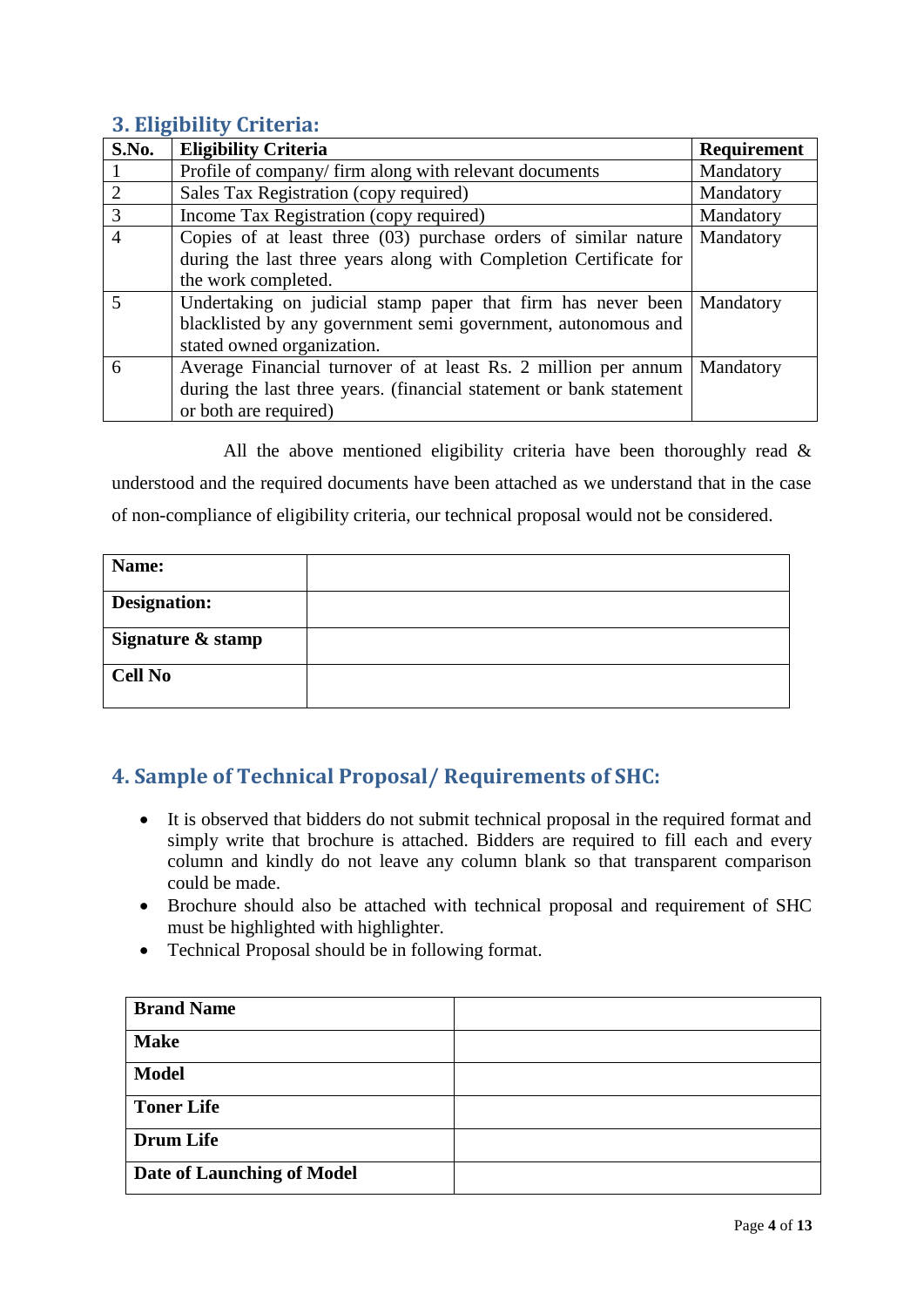## <span id="page-3-0"></span>**3. Eligibility Criteria:**

| S.No.                    | <b>Eligibility Criteria</b>                                                                                                                                    | Requirement |
|--------------------------|----------------------------------------------------------------------------------------------------------------------------------------------------------------|-------------|
|                          | Profile of company/ firm along with relevant documents                                                                                                         | Mandatory   |
| 2                        | Sales Tax Registration (copy required)                                                                                                                         | Mandatory   |
| 3                        | Income Tax Registration (copy required)                                                                                                                        | Mandatory   |
| $\overline{4}$           | Copies of at least three $(03)$ purchase orders of similar nature<br>during the last three years along with Completion Certificate for<br>the work completed.  | Mandatory   |
| $\overline{\phantom{0}}$ | Undertaking on judicial stamp paper that firm has never been<br>blacklisted by any government semi government, autonomous and<br>stated owned organization.    | Mandatory   |
| 6                        | Average Financial turnover of at least Rs. 2 million per annum<br>during the last three years. (financial statement or bank statement<br>or both are required) | Mandatory   |

All the above mentioned eligibility criteria have been thoroughly read  $\&$ understood and the required documents have been attached as we understand that in the case of non-compliance of eligibility criteria, our technical proposal would not be considered.

| Name:               |  |
|---------------------|--|
| <b>Designation:</b> |  |
| Signature & stamp   |  |
| <b>Cell No</b>      |  |

## <span id="page-3-1"></span>**4. Sample of Technical Proposal/ Requirements of SHC:**

- It is observed that bidders do not submit technical proposal in the required format and simply write that brochure is attached. Bidders are required to fill each and every column and kindly do not leave any column blank so that transparent comparison could be made.
- Brochure should also be attached with technical proposal and requirement of SHC must be highlighted with highlighter.
- Technical Proposal should be in following format.

| <b>Brand Name</b>                 |  |
|-----------------------------------|--|
| <b>Make</b>                       |  |
| <b>Model</b>                      |  |
| <b>Toner Life</b>                 |  |
| <b>Drum Life</b>                  |  |
| <b>Date of Launching of Model</b> |  |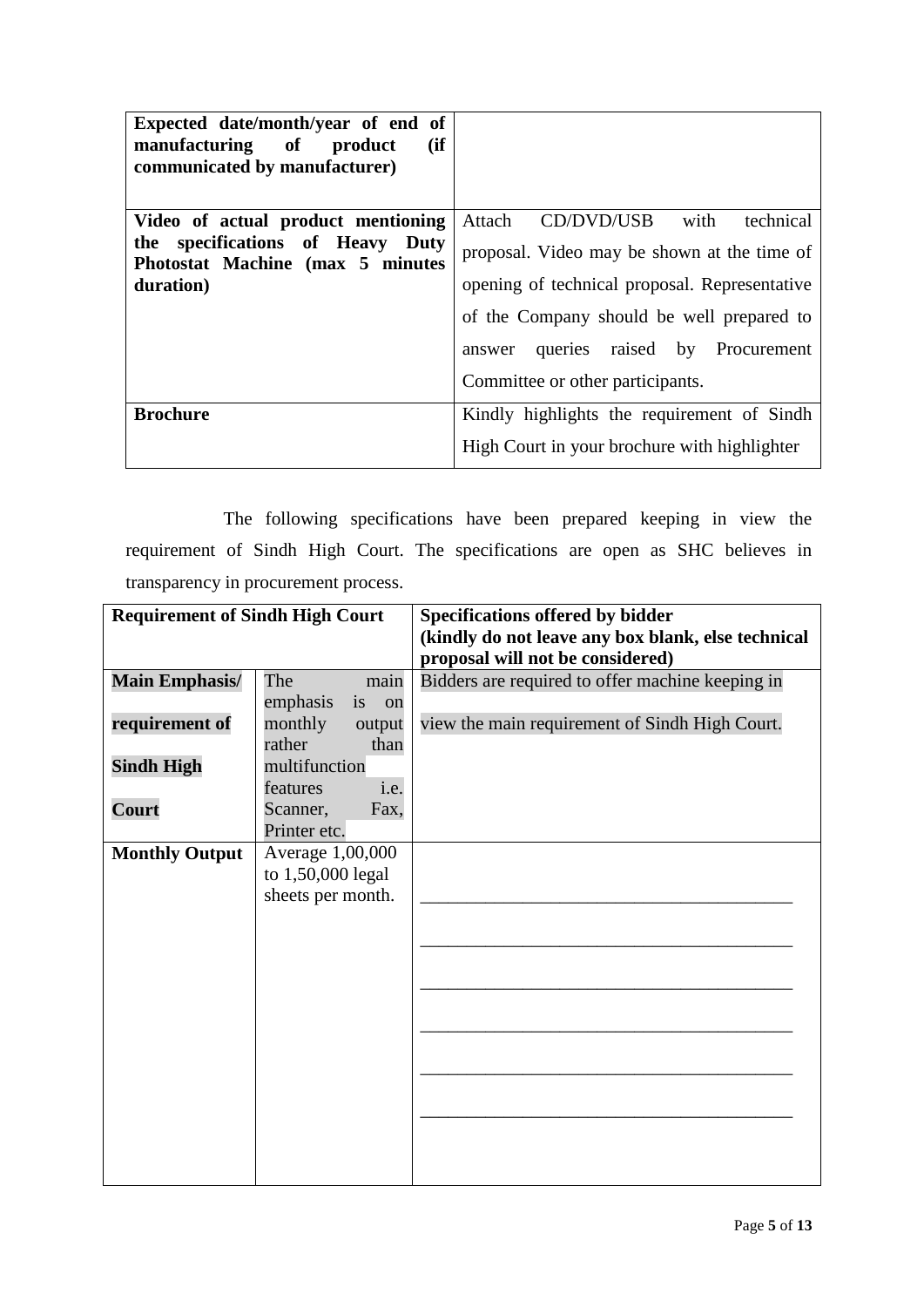| Expected date/month/year of end of<br>(ii)<br>manufacturing of<br>product<br>communicated by manufacturer) |                                               |
|------------------------------------------------------------------------------------------------------------|-----------------------------------------------|
| Video of actual product mentioning                                                                         | Attach CD/DVD/USB<br>with<br>technical        |
| the specifications of Heavy Duty<br>Photostat Machine (max 5 minutes                                       | proposal. Video may be shown at the time of   |
| duration)                                                                                                  | opening of technical proposal. Representative |
|                                                                                                            | of the Company should be well prepared to     |
|                                                                                                            | answer queries raised by Procurement          |
|                                                                                                            | Committee or other participants.              |
| <b>Brochure</b>                                                                                            | Kindly highlights the requirement of Sindh    |
|                                                                                                            | High Court in your brochure with highlighter  |

The following specifications have been prepared keeping in view the requirement of Sindh High Court. The specifications are open as SHC believes in transparency in procurement process.

| <b>Requirement of Sindh High Court</b> |                      | <b>Specifications offered by bidder</b>            |
|----------------------------------------|----------------------|----------------------------------------------------|
|                                        |                      | (kindly do not leave any box blank, else technical |
|                                        |                      | proposal will not be considered)                   |
| <b>Main Emphasis/</b>                  | The<br>main          | Bidders are required to offer machine keeping in   |
|                                        | emphasis<br>is<br>on |                                                    |
| requirement of                         | monthly<br>output    | view the main requirement of Sindh High Court.     |
|                                        | rather<br>than       |                                                    |
| <b>Sindh High</b>                      | multifunction        |                                                    |
|                                        | i.e.<br>features     |                                                    |
| Court                                  | Scanner,<br>Fax,     |                                                    |
|                                        | Printer etc.         |                                                    |
| <b>Monthly Output</b>                  | Average 1,00,000     |                                                    |
|                                        | to 1,50,000 legal    |                                                    |
|                                        | sheets per month.    |                                                    |
|                                        |                      |                                                    |
|                                        |                      |                                                    |
|                                        |                      |                                                    |
|                                        |                      |                                                    |
|                                        |                      |                                                    |
|                                        |                      |                                                    |
|                                        |                      |                                                    |
|                                        |                      |                                                    |
|                                        |                      |                                                    |
|                                        |                      |                                                    |
|                                        |                      |                                                    |
|                                        |                      |                                                    |
|                                        |                      |                                                    |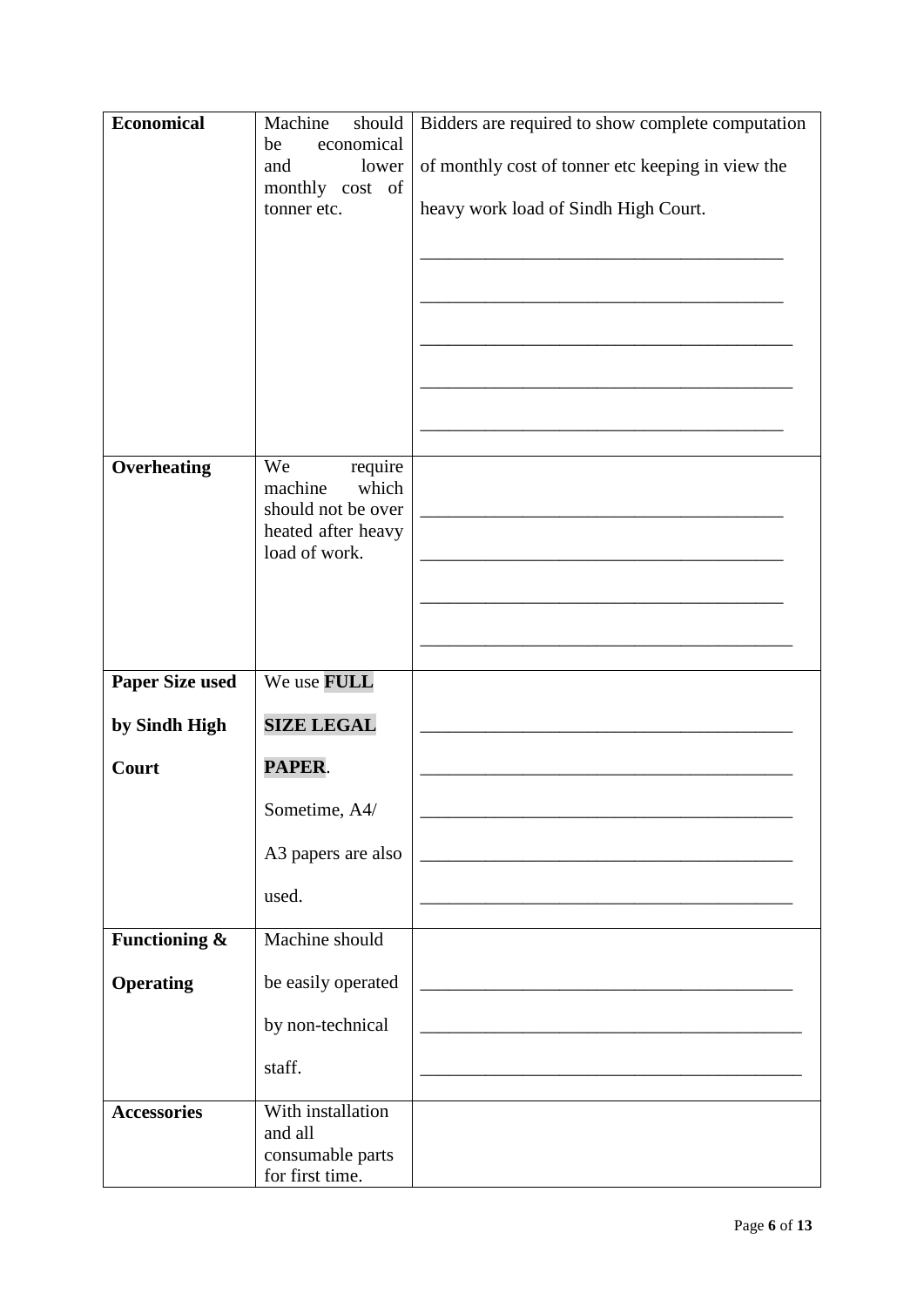| <b>Economical</b>      | Machine<br>should                   | Bidders are required to show complete computation |
|------------------------|-------------------------------------|---------------------------------------------------|
|                        | economical<br>be                    |                                                   |
|                        | lower<br>and<br>monthly cost of     | of monthly cost of tonner etc keeping in view the |
|                        | tonner etc.                         | heavy work load of Sindh High Court.              |
|                        |                                     |                                                   |
|                        |                                     |                                                   |
|                        |                                     |                                                   |
|                        |                                     |                                                   |
|                        |                                     |                                                   |
|                        |                                     |                                                   |
|                        |                                     |                                                   |
|                        |                                     |                                                   |
| Overheating            | We<br>require                       |                                                   |
|                        | which<br>machine                    |                                                   |
|                        | should not be over                  |                                                   |
|                        | heated after heavy<br>load of work. |                                                   |
|                        |                                     |                                                   |
|                        |                                     |                                                   |
|                        |                                     |                                                   |
|                        |                                     |                                                   |
| <b>Paper Size used</b> | We use FULL                         |                                                   |
| by Sindh High          | <b>SIZE LEGAL</b>                   |                                                   |
|                        |                                     |                                                   |
| Court                  | PAPER.                              |                                                   |
|                        | Sometime, A4/                       |                                                   |
|                        |                                     |                                                   |
|                        | A3 papers are also                  |                                                   |
|                        | used.                               |                                                   |
|                        |                                     |                                                   |
| Functioning &          | Machine should                      |                                                   |
| <b>Operating</b>       | be easily operated                  |                                                   |
|                        |                                     |                                                   |
|                        | by non-technical                    |                                                   |
|                        | staff.                              |                                                   |
|                        |                                     |                                                   |
| <b>Accessories</b>     | With installation                   |                                                   |
|                        | and all<br>consumable parts         |                                                   |
|                        | for first time.                     |                                                   |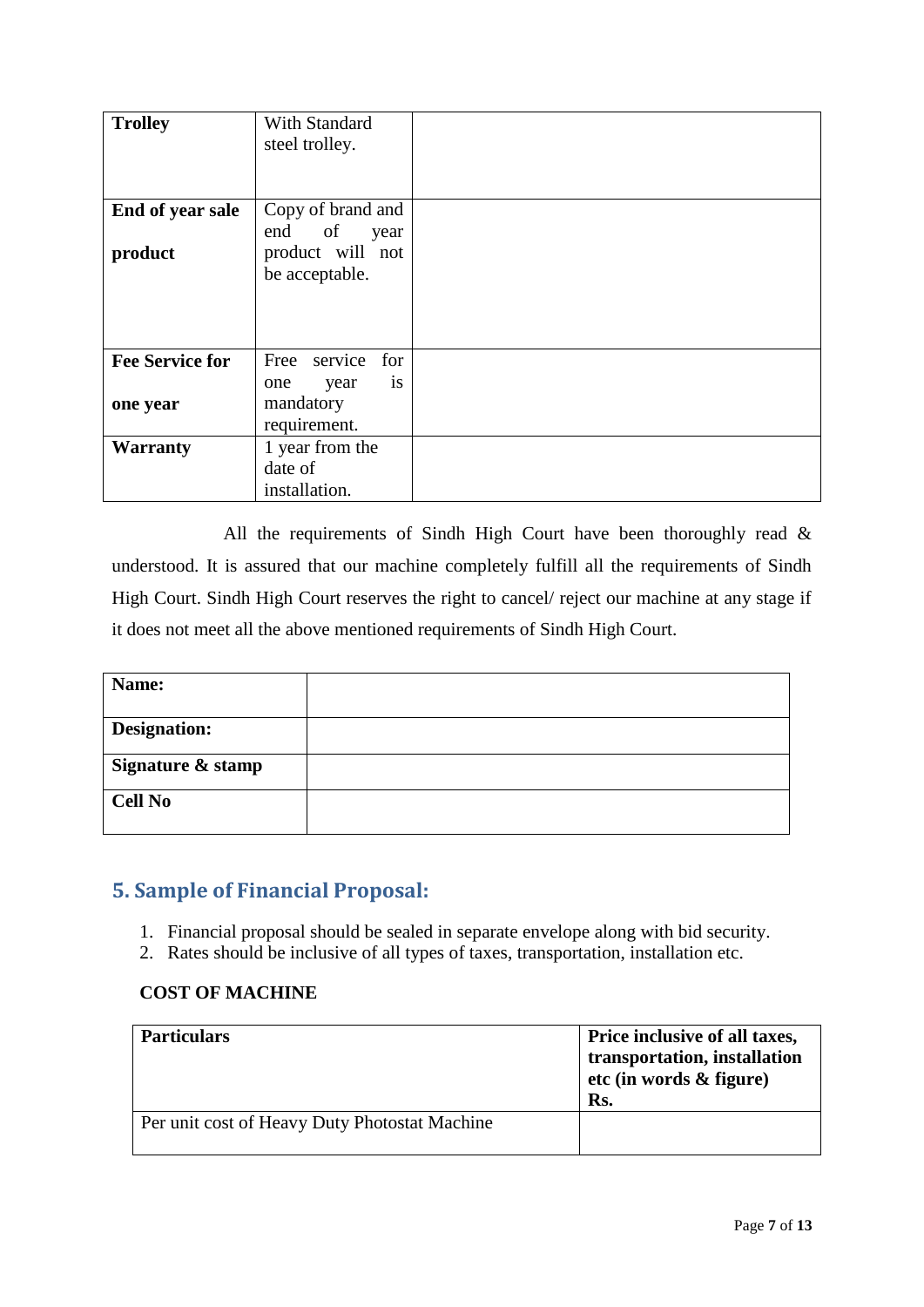| <b>Trolley</b>                     | With Standard<br>steel trolley.                                           |  |
|------------------------------------|---------------------------------------------------------------------------|--|
| End of year sale<br>product        | Copy of brand and<br>end of<br>year<br>product will not<br>be acceptable. |  |
| <b>Fee Service for</b><br>one year | Free service<br>for<br>is<br>year<br>one<br>mandatory<br>requirement.     |  |
| <b>Warranty</b>                    | 1 year from the<br>date of<br>installation.                               |  |

All the requirements of Sindh High Court have been thoroughly read  $\&$ understood. It is assured that our machine completely fulfill all the requirements of Sindh High Court. Sindh High Court reserves the right to cancel/ reject our machine at any stage if it does not meet all the above mentioned requirements of Sindh High Court.

| Name:               |  |
|---------------------|--|
| <b>Designation:</b> |  |
| Signature & stamp   |  |
| <b>Cell No</b>      |  |

## <span id="page-6-0"></span>**5. Sample of Financial Proposal:**

- 1. Financial proposal should be sealed in separate envelope along with bid security.
- 2. Rates should be inclusive of all types of taxes, transportation, installation etc.

### **COST OF MACHINE**

| <b>Particulars</b>                            | Price inclusive of all taxes,<br>transportation, installation<br>etc (in words $\&$ figure)<br>Rs. |
|-----------------------------------------------|----------------------------------------------------------------------------------------------------|
| Per unit cost of Heavy Duty Photostat Machine |                                                                                                    |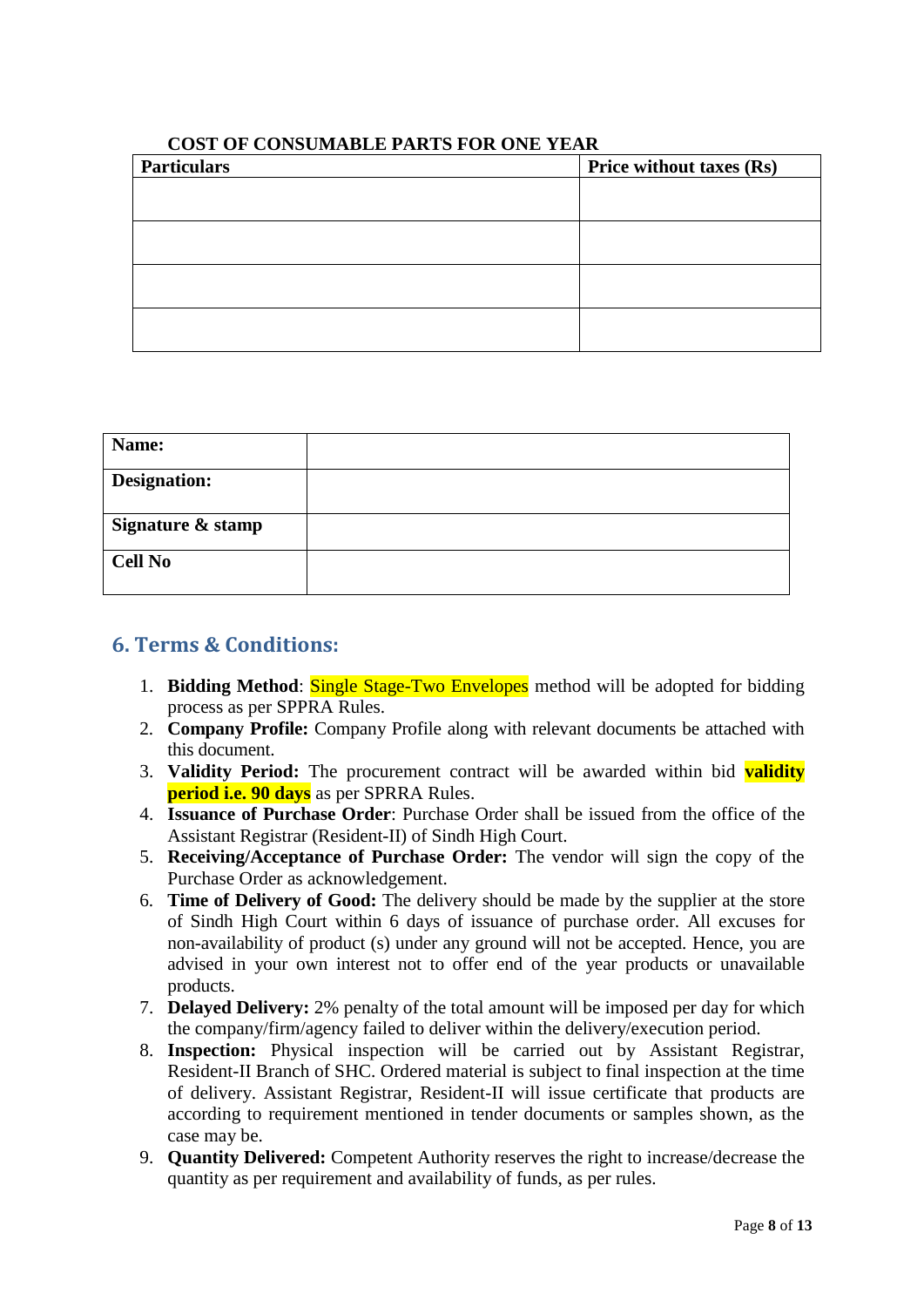| <b>Price without taxes (Rs)</b> |
|---------------------------------|
|                                 |
|                                 |
|                                 |
|                                 |
|                                 |
|                                 |

#### **COST OF CONSUMABLE PARTS FOR ONE YEAR**

| Name:               |  |
|---------------------|--|
| <b>Designation:</b> |  |
| Signature & stamp   |  |
| <b>Cell No</b>      |  |

## <span id="page-7-0"></span>**6. Terms & Conditions:**

- 1. **Bidding Method**: Single Stage-Two Envelopes method will be adopted for bidding process as per SPPRA Rules.
- 2. **Company Profile:** Company Profile along with relevant documents be attached with this document.
- 3. **Validity Period:** The procurement contract will be awarded within bid **validity period i.e. 90 days** as per SPRRA Rules.
- 4. **Issuance of Purchase Order**: Purchase Order shall be issued from the office of the Assistant Registrar (Resident-II) of Sindh High Court.
- 5. **Receiving/Acceptance of Purchase Order:** The vendor will sign the copy of the Purchase Order as acknowledgement.
- 6. **Time of Delivery of Good:** The delivery should be made by the supplier at the store of Sindh High Court within 6 days of issuance of purchase order. All excuses for non-availability of product (s) under any ground will not be accepted. Hence, you are advised in your own interest not to offer end of the year products or unavailable products.
- 7. **Delayed Delivery:** 2% penalty of the total amount will be imposed per day for which the company/firm/agency failed to deliver within the delivery/execution period.
- 8. **Inspection:** Physical inspection will be carried out by Assistant Registrar, Resident-II Branch of SHC. Ordered material is subject to final inspection at the time of delivery. Assistant Registrar, Resident-II will issue certificate that products are according to requirement mentioned in tender documents or samples shown, as the case may be.
- 9. **Quantity Delivered:** Competent Authority reserves the right to increase/decrease the quantity as per requirement and availability of funds, as per rules.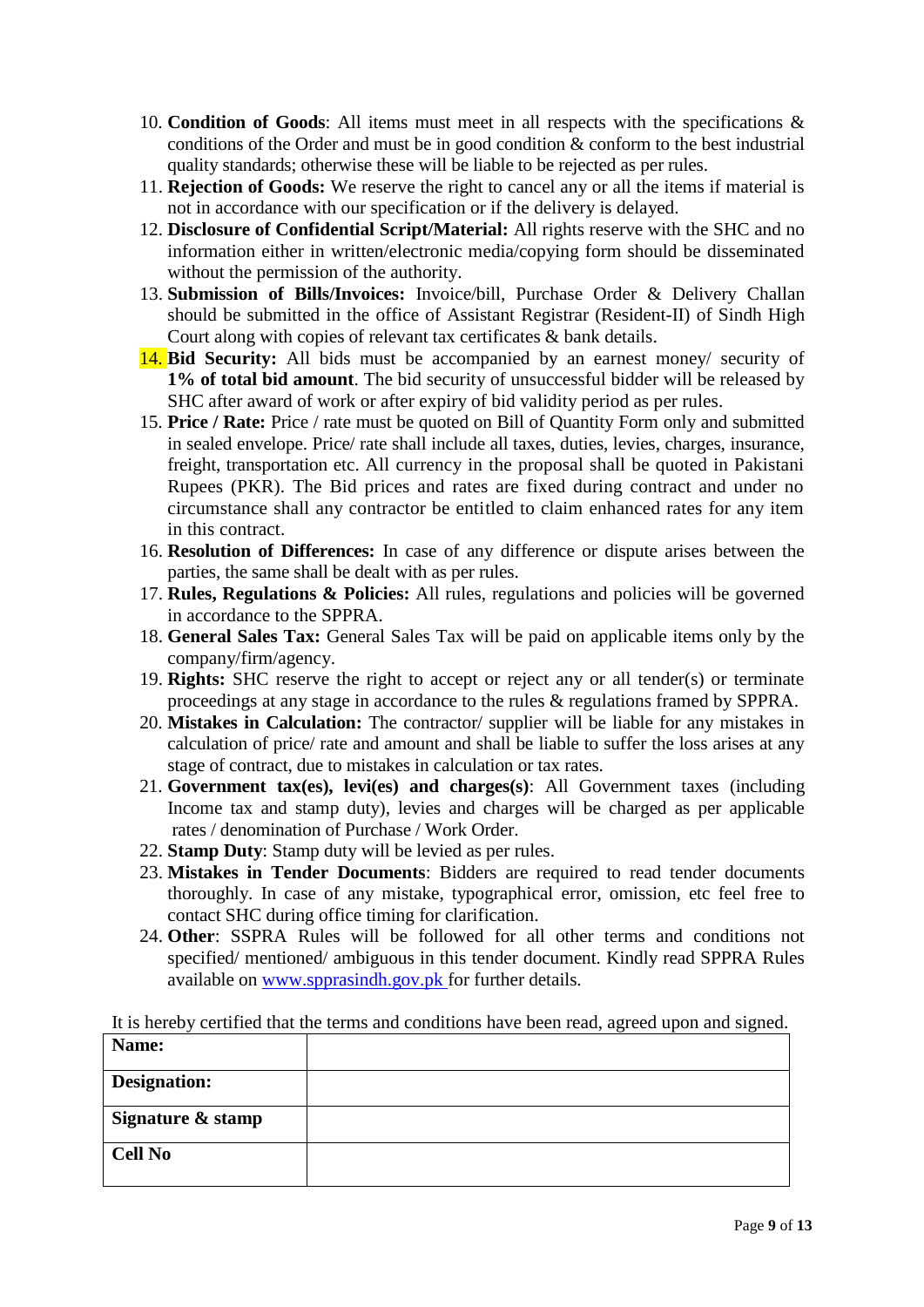- 10. **Condition of Goods**: All items must meet in all respects with the specifications & conditions of the Order and must be in good condition & conform to the best industrial quality standards; otherwise these will be liable to be rejected as per rules.
- 11. **Rejection of Goods:** We reserve the right to cancel any or all the items if material is not in accordance with our specification or if the delivery is delayed.
- 12. **Disclosure of Confidential Script/Material:** All rights reserve with the SHC and no information either in written/electronic media/copying form should be disseminated without the permission of the authority.
- 13. **Submission of Bills/Invoices:** Invoice/bill, Purchase Order & Delivery Challan should be submitted in the office of Assistant Registrar (Resident-II) of Sindh High Court along with copies of relevant tax certificates & bank details.
- 14. **Bid Security:** All bids must be accompanied by an earnest money/ security of **1% of total bid amount**. The bid security of unsuccessful bidder will be released by SHC after award of work or after expiry of bid validity period as per rules.
- 15. **Price / Rate:** Price / rate must be quoted on Bill of Quantity Form only and submitted in sealed envelope. Price/ rate shall include all taxes, duties, levies, charges, insurance, freight, transportation etc. All currency in the proposal shall be quoted in Pakistani Rupees (PKR). The Bid prices and rates are fixed during contract and under no circumstance shall any contractor be entitled to claim enhanced rates for any item in this contract.
- 16. **Resolution of Differences:** In case of any difference or dispute arises between the parties, the same shall be dealt with as per rules.
- 17. **Rules, Regulations & Policies:** All rules, regulations and policies will be governed in accordance to the SPPRA.
- 18. **General Sales Tax:** General Sales Tax will be paid on applicable items only by the company/firm/agency.
- 19. **Rights:** SHC reserve the right to accept or reject any or all tender(s) or terminate proceedings at any stage in accordance to the rules & regulations framed by SPPRA.
- 20. **Mistakes in Calculation:** The contractor/ supplier will be liable for any mistakes in calculation of price/ rate and amount and shall be liable to suffer the loss arises at any stage of contract, due to mistakes in calculation or tax rates.
- 21. **Government tax(es), levi(es) and charges(s)**: All Government taxes (including Income tax and stamp duty), levies and charges will be charged as per applicable rates / denomination of Purchase / Work Order.
- 22. **Stamp Duty**: Stamp duty will be levied as per rules.
- 23. **Mistakes in Tender Documents**: Bidders are required to read tender documents thoroughly. In case of any mistake, typographical error, omission, etc feel free to contact SHC during office timing for clarification.
- 24. **Other**: SSPRA Rules will be followed for all other terms and conditions not specified/ mentioned/ ambiguous in this tender document. Kindly read SPPRA Rules available on [www.spprasindh.gov.pk](http://www.spprasindh.gov.pk/) for further details.

It is hereby certified that the terms and conditions have been read, agreed upon and signed.

| Name:               |  |
|---------------------|--|
| <b>Designation:</b> |  |
| Signature & stamp   |  |
| <b>Cell No</b>      |  |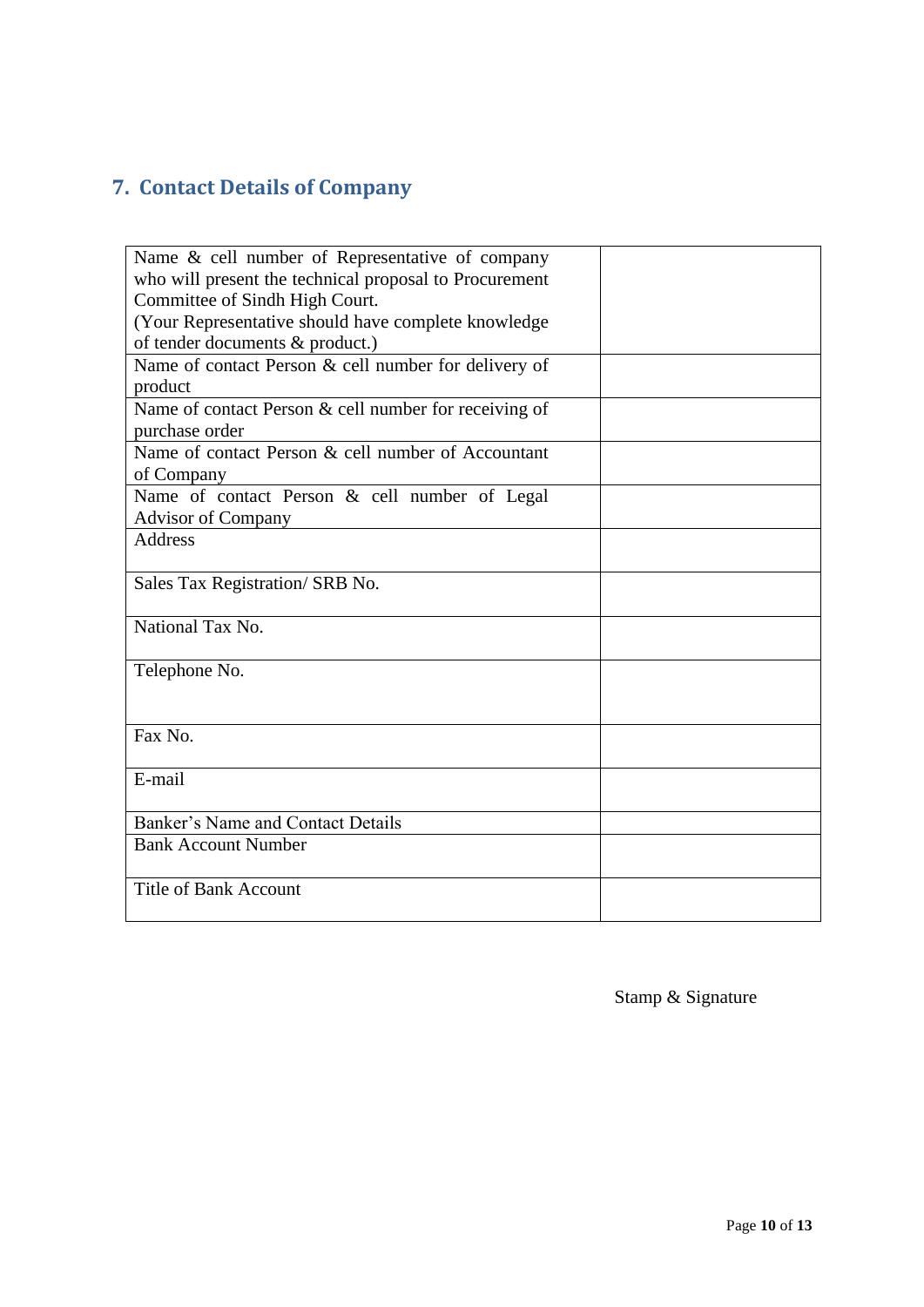# <span id="page-9-0"></span>**7. Contact Details of Company**

| Name & cell number of Representative of company        |  |
|--------------------------------------------------------|--|
| who will present the technical proposal to Procurement |  |
| Committee of Sindh High Court.                         |  |
|                                                        |  |
| (Your Representative should have complete knowledge    |  |
| of tender documents & product.)                        |  |
| Name of contact Person & cell number for delivery of   |  |
| product                                                |  |
| Name of contact Person & cell number for receiving of  |  |
| purchase order                                         |  |
| Name of contact Person & cell number of Accountant     |  |
| of Company                                             |  |
| Name of contact Person & cell number of Legal          |  |
| <b>Advisor of Company</b>                              |  |
| <b>Address</b>                                         |  |
|                                                        |  |
| Sales Tax Registration/ SRB No.                        |  |
|                                                        |  |
| National Tax No.                                       |  |
|                                                        |  |
| Telephone No.                                          |  |
|                                                        |  |
|                                                        |  |
| Fax No.                                                |  |
|                                                        |  |
| E-mail                                                 |  |
|                                                        |  |
| Banker's Name and Contact Details                      |  |
| <b>Bank Account Number</b>                             |  |
|                                                        |  |
| <b>Title of Bank Account</b>                           |  |
|                                                        |  |

Stamp & Signature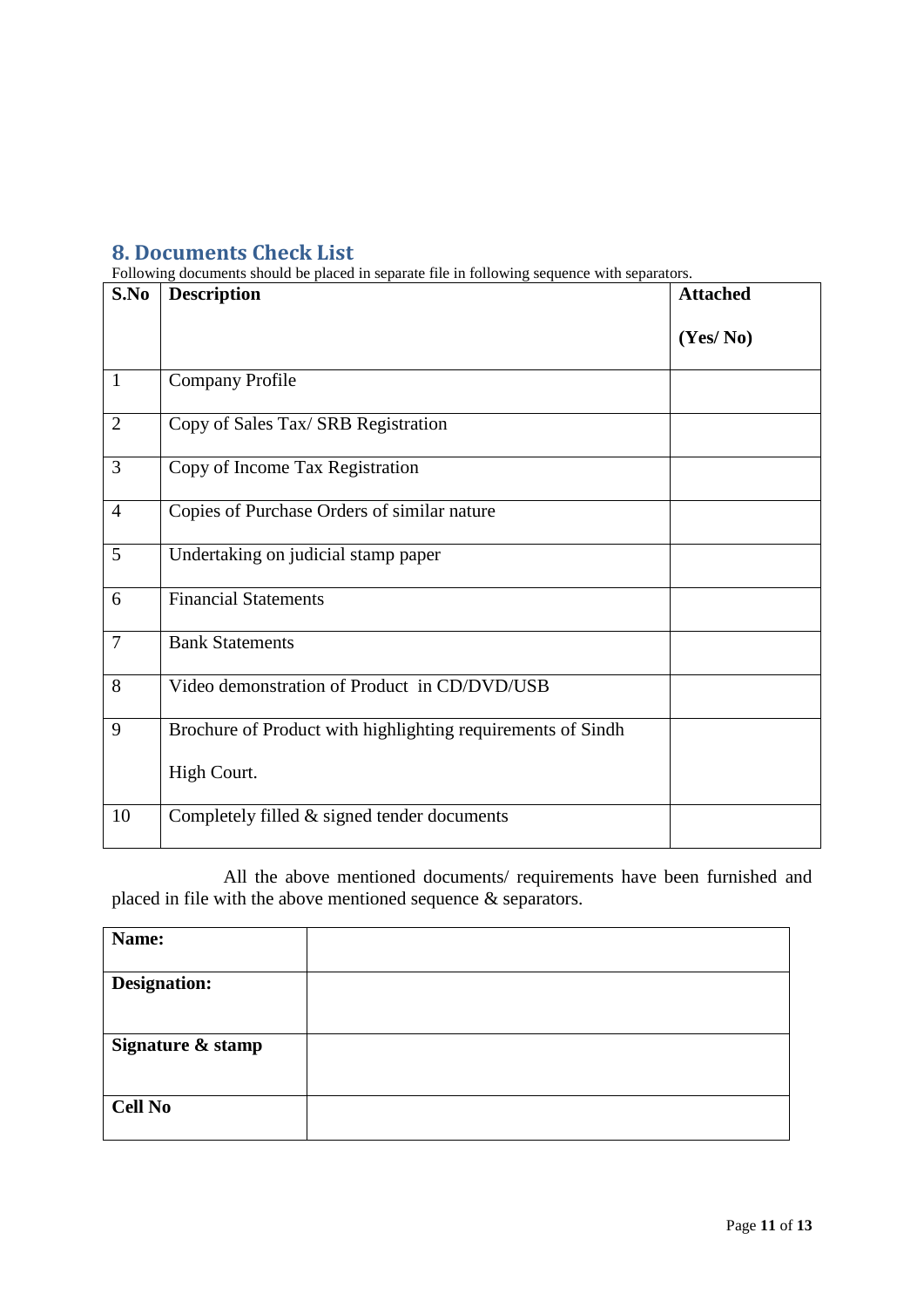## <span id="page-10-0"></span>**8. Documents Check List**

Following documents should be placed in separate file in following sequence with separators.

| S.No           | <b>Description</b>                                          | <b>Attached</b> |
|----------------|-------------------------------------------------------------|-----------------|
|                |                                                             | (Yes/No)        |
| $\mathbf{1}$   | <b>Company Profile</b>                                      |                 |
| $\overline{2}$ | Copy of Sales Tax/ SRB Registration                         |                 |
| 3              | Copy of Income Tax Registration                             |                 |
| $\overline{4}$ | Copies of Purchase Orders of similar nature                 |                 |
| 5              | Undertaking on judicial stamp paper                         |                 |
| 6              | <b>Financial Statements</b>                                 |                 |
| $\overline{7}$ | <b>Bank Statements</b>                                      |                 |
| 8              | Video demonstration of Product in CD/DVD/USB                |                 |
| 9              | Brochure of Product with highlighting requirements of Sindh |                 |
|                | High Court.                                                 |                 |
| 10             | Completely filled $&$ signed tender documents               |                 |

All the above mentioned documents/ requirements have been furnished and placed in file with the above mentioned sequence & separators.

| Name:               |  |
|---------------------|--|
| <b>Designation:</b> |  |
| Signature & stamp   |  |
| <b>Cell No</b>      |  |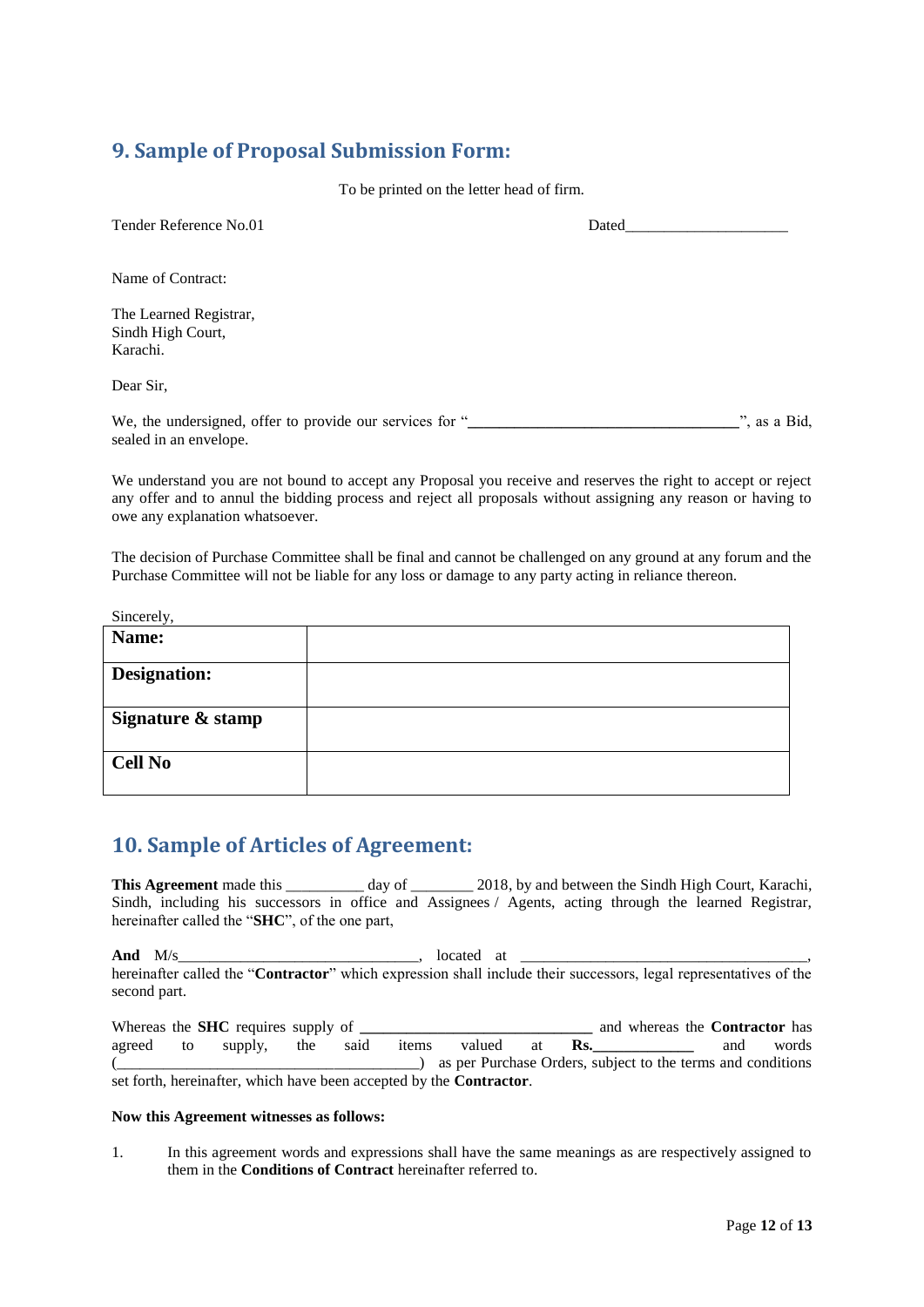## <span id="page-11-0"></span>**9. Sample of Proposal Submission Form:**

To be printed on the letter head of firm.

| Tender Reference No.01                                                             | Dated |                        |
|------------------------------------------------------------------------------------|-------|------------------------|
| Name of Contract:                                                                  |       |                        |
| The Learned Registrar,<br>Sindh High Court,<br>Karachi.                            |       |                        |
| Dear Sir.                                                                          |       |                        |
| We, the undersigned, offer to provide our services for "<br>sealed in an envelope. |       | $\therefore$ as a Bid, |

We understand you are not bound to accept any Proposal you receive and reserves the right to accept or reject any offer and to annul the bidding process and reject all proposals without assigning any reason or having to owe any explanation whatsoever.

The decision of Purchase Committee shall be final and cannot be challenged on any ground at any forum and the Purchase Committee will not be liable for any loss or damage to any party acting in reliance thereon.

Sincerely,

| Name:               |  |
|---------------------|--|
| <b>Designation:</b> |  |
| Signature & stamp   |  |
| <b>Cell No</b>      |  |

### <span id="page-11-1"></span>**10. Sample of Articles of Agreement:**

**This Agreement** made this day of 2018, by and between the Sindh High Court, Karachi, Sindh, including his successors in office and Assignees / Agents, acting through the learned Registrar, hereinafter called the "**SHC**", of the one part,

**And** M/s\_\_\_\_\_\_\_\_\_\_\_\_\_\_\_\_\_\_\_\_\_\_\_\_\_\_\_\_\_\_\_, located at \_\_\_\_\_\_\_\_\_\_\_\_\_\_\_\_\_\_\_\_\_\_\_\_\_\_\_\_\_\_\_\_\_\_\_\_\_, hereinafter called the "**Contractor**" which expression shall include their successors, legal representatives of the second part.

Whereas the **SHC** requires supply of **\_\_\_\_\_\_\_\_\_\_\_\_\_\_\_\_\_\_\_\_\_\_\_\_\_\_\_\_\_\_\_** and whereas the **Contractor** has agreed to supply, the said items valued at **Rs.\_\_\_\_\_\_\_\_\_\_\_\_\_** and words (\_\_\_\_\_\_\_\_\_\_\_\_\_\_\_\_\_\_\_\_\_\_\_\_\_\_\_\_\_\_\_\_\_\_\_\_\_\_\_) as per Purchase Orders, subject to the terms and conditions set forth, hereinafter, which have been accepted by the **Contractor**.

#### **Now this Agreement witnesses as follows:**

1. In this agreement words and expressions shall have the same meanings as are respectively assigned to them in the **Conditions of Contract** hereinafter referred to.